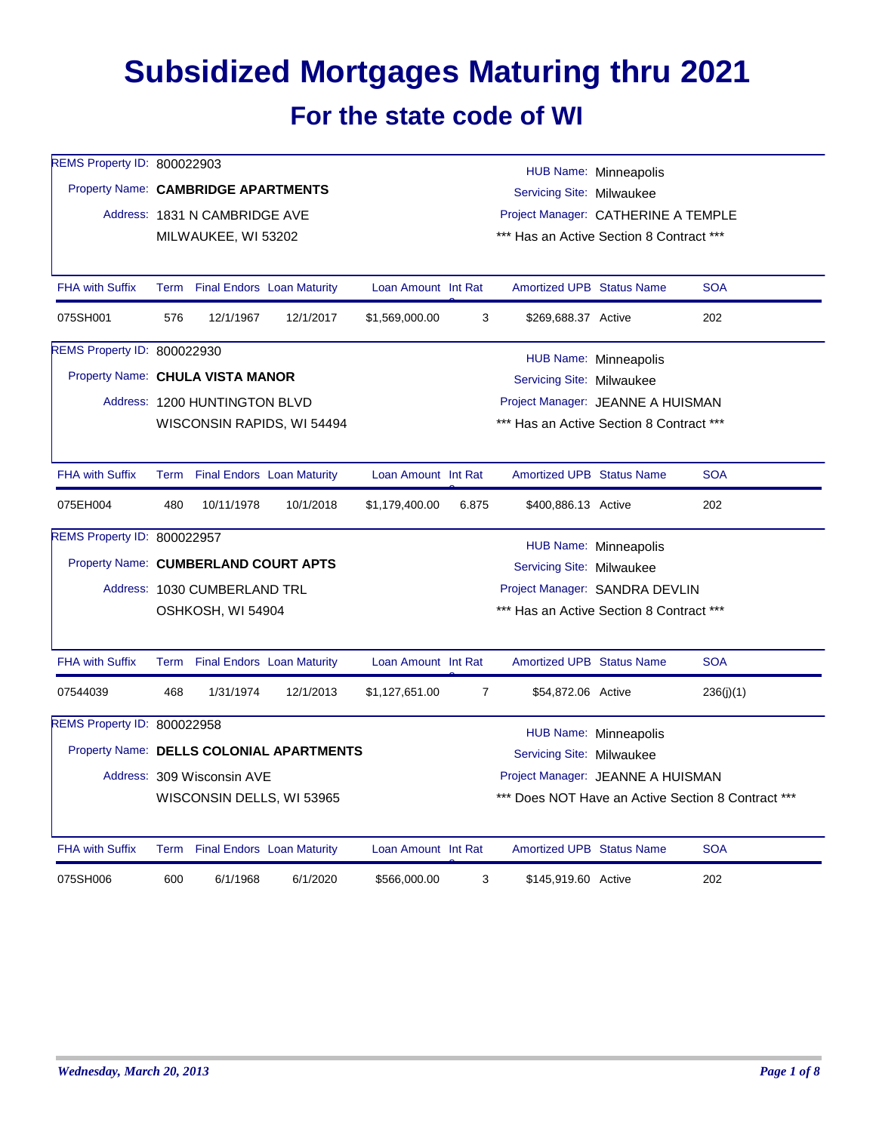## **Subsidized Mortgages Maturing thru 2021 For the state code of WI**

| REMS Property ID: 800022903          |      |                                 |                                          |                     |                |                                          | HUB Name: Minneapolis        |                                                    |
|--------------------------------------|------|---------------------------------|------------------------------------------|---------------------|----------------|------------------------------------------|------------------------------|----------------------------------------------------|
| Property Name: CAMBRIDGE APARTMENTS  |      |                                 |                                          |                     |                | Servicing Site: Milwaukee                |                              |                                                    |
|                                      |      | Address: 1831 N CAMBRIDGE AVE   |                                          |                     |                | Project Manager: CATHERINE A TEMPLE      |                              |                                                    |
|                                      |      | MILWAUKEE, WI 53202             |                                          |                     |                | *** Has an Active Section 8 Contract *** |                              |                                                    |
|                                      |      |                                 |                                          |                     |                |                                          |                              |                                                    |
| <b>FHA with Suffix</b>               |      | Term Final Endors Loan Maturity |                                          | Loan Amount Int Rat |                | <b>Amortized UPB Status Name</b>         |                              | <b>SOA</b>                                         |
| 075SH001                             | 576  | 12/1/1967                       | 12/1/2017                                | \$1,569,000.00      | 3              | \$269,688.37 Active                      |                              | 202                                                |
| REMS Property ID: 800022930          |      |                                 |                                          |                     |                |                                          | HUB Name: Minneapolis        |                                                    |
| Property Name: CHULA VISTA MANOR     |      |                                 |                                          |                     |                | Servicing Site: Milwaukee                |                              |                                                    |
|                                      |      | Address: 1200 HUNTINGTON BLVD   |                                          |                     |                | Project Manager: JEANNE A HUISMAN        |                              |                                                    |
|                                      |      |                                 | WISCONSIN RAPIDS, WI 54494               |                     |                | *** Has an Active Section 8 Contract *** |                              |                                                    |
|                                      |      |                                 |                                          |                     |                |                                          |                              |                                                    |
| <b>FHA with Suffix</b>               | Term |                                 | <b>Final Endors Loan Maturity</b>        | Loan Amount Int Rat |                | <b>Amortized UPB Status Name</b>         |                              | <b>SOA</b>                                         |
| 075EH004                             | 480  | 10/11/1978                      | 10/1/2018                                | \$1,179,400.00      | 6.875          | \$400,886.13 Active                      |                              | 202                                                |
| REMS Property ID: 800022957          |      |                                 |                                          |                     |                |                                          | <b>HUB Name: Minneapolis</b> |                                                    |
| Property Name: CUMBERLAND COURT APTS |      |                                 |                                          |                     |                | Servicing Site: Milwaukee                |                              |                                                    |
|                                      |      | Address: 1030 CUMBERLAND TRL    |                                          |                     |                | Project Manager: SANDRA DEVLIN           |                              |                                                    |
|                                      |      | OSHKOSH, WI 54904               |                                          |                     |                | *** Has an Active Section 8 Contract *** |                              |                                                    |
|                                      |      |                                 |                                          |                     |                |                                          |                              |                                                    |
| <b>FHA with Suffix</b>               |      | Term Final Endors Loan Maturity |                                          | Loan Amount Int Rat |                | <b>Amortized UPB Status Name</b>         |                              | <b>SOA</b>                                         |
| 07544039                             | 468  | 1/31/1974                       | 12/1/2013                                | \$1,127,651.00      | $\overline{7}$ | \$54,872.06 Active                       |                              | 236(i)(1)                                          |
| <b>REMS Property ID: 800022958</b>   |      |                                 |                                          |                     |                |                                          | HUB Name: Minneapolis        |                                                    |
|                                      |      |                                 | Property Name: DELLS COLONIAL APARTMENTS |                     |                | Servicing Site: Milwaukee                |                              |                                                    |
|                                      |      | Address: 309 Wisconsin AVE      |                                          |                     |                | Project Manager: JEANNE A HUISMAN        |                              |                                                    |
|                                      |      | WISCONSIN DELLS, WI 53965       |                                          |                     |                |                                          |                              | *** Does NOT Have an Active Section 8 Contract *** |
| <b>FHA with Suffix</b>               |      | Term Final Endors Loan Maturity |                                          | Loan Amount Int Rat |                | <b>Amortized UPB Status Name</b>         |                              | <b>SOA</b>                                         |
|                                      |      |                                 |                                          |                     |                |                                          |                              |                                                    |
| 075SH006                             | 600  | 6/1/1968                        | 6/1/2020                                 | \$566,000.00        | 3              | \$145,919.60 Active                      |                              | 202                                                |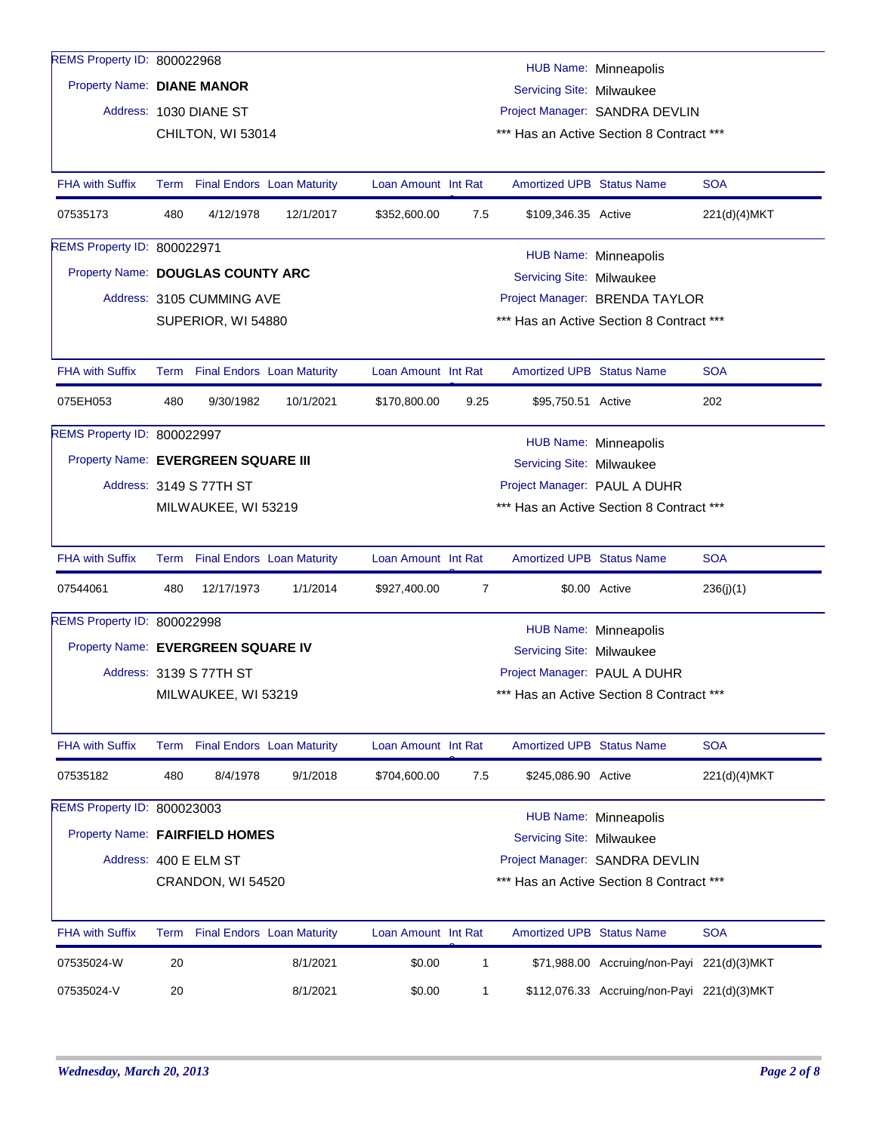| REMS Property ID: 800022968         |                                                               |                           |                                   |                                          |              |                                  | HUB Name: Minneapolis                       |              |  |  |
|-------------------------------------|---------------------------------------------------------------|---------------------------|-----------------------------------|------------------------------------------|--------------|----------------------------------|---------------------------------------------|--------------|--|--|
|                                     | Property Name: DIANE MANOR<br>Servicing Site: Milwaukee       |                           |                                   |                                          |              |                                  |                                             |              |  |  |
|                                     |                                                               | Address: 1030 DIANE ST    |                                   | Project Manager: SANDRA DEVLIN           |              |                                  |                                             |              |  |  |
|                                     | CHILTON, WI 53014<br>*** Has an Active Section 8 Contract *** |                           |                                   |                                          |              |                                  |                                             |              |  |  |
|                                     |                                                               |                           |                                   |                                          |              |                                  |                                             |              |  |  |
| FHA with Suffix                     |                                                               |                           | Term Final Endors Loan Maturity   | Loan Amount Int Rat                      |              | Amortized UPB Status Name        |                                             | <b>SOA</b>   |  |  |
| 07535173                            | 480                                                           | 4/12/1978                 | 12/1/2017                         | \$352,600.00                             | 7.5          | \$109,346.35 Active              |                                             | 221(d)(4)MKT |  |  |
| REMS Property ID: 800022971         |                                                               |                           |                                   |                                          |              |                                  | HUB Name: Minneapolis                       |              |  |  |
| Property Name: DOUGLAS COUNTY ARC   |                                                               |                           |                                   |                                          |              | Servicing Site: Milwaukee        |                                             |              |  |  |
|                                     |                                                               | Address: 3105 CUMMING AVE |                                   |                                          |              |                                  | Project Manager: BRENDA TAYLOR              |              |  |  |
|                                     |                                                               | SUPERIOR, WI 54880        |                                   |                                          |              |                                  | *** Has an Active Section 8 Contract ***    |              |  |  |
| <b>FHA with Suffix</b>              |                                                               |                           | Term Final Endors Loan Maturity   | Loan Amount Int Rat                      |              | <b>Amortized UPB Status Name</b> |                                             | <b>SOA</b>   |  |  |
| 075EH053                            | 480                                                           | 9/30/1982                 | 10/1/2021                         | \$170,800.00                             | 9.25         | \$95,750.51 Active               |                                             | 202          |  |  |
| REMS Property ID: 800022997         |                                                               |                           |                                   |                                          |              |                                  |                                             |              |  |  |
| Property Name: EVERGREEN SQUARE III |                                                               |                           |                                   |                                          |              | Servicing Site: Milwaukee        | HUB Name: Minneapolis                       |              |  |  |
|                                     |                                                               | Address: 3149 S 77TH ST   |                                   |                                          |              | Project Manager: PAUL A DUHR     |                                             |              |  |  |
|                                     |                                                               | MILWAUKEE, WI 53219       |                                   | *** Has an Active Section 8 Contract *** |              |                                  |                                             |              |  |  |
|                                     |                                                               |                           |                                   |                                          |              |                                  |                                             |              |  |  |
| <b>FHA with Suffix</b>              | Term                                                          |                           | <b>Final Endors Loan Maturity</b> | Loan Amount Int Rat                      |              | <b>Amortized UPB Status Name</b> |                                             | <b>SOA</b>   |  |  |
| 07544061                            | 480                                                           | 12/17/1973                | 1/1/2014                          | \$927,400.00                             | 7            |                                  | \$0.00 Active                               | 236(j)(1)    |  |  |
| REMS Property ID: 800022998         |                                                               |                           |                                   |                                          |              |                                  | HUB Name: Minneapolis                       |              |  |  |
| Property Name: EVERGREEN SQUARE IV  |                                                               |                           |                                   |                                          |              | Servicing Site: Milwaukee        |                                             |              |  |  |
|                                     |                                                               | Address: 3139 S 77TH ST   |                                   |                                          |              | Project Manager: PAUL A DUHR     |                                             |              |  |  |
|                                     |                                                               | MILWAUKEE, WI 53219       |                                   |                                          |              |                                  | *** Has an Active Section 8 Contract ***    |              |  |  |
|                                     |                                                               |                           |                                   |                                          |              |                                  |                                             |              |  |  |
| <b>FHA with Suffix</b>              |                                                               |                           | Term Final Endors Loan Maturity   | Loan Amount Int Rat                      |              | Amortized UPB Status Name        |                                             | <b>SOA</b>   |  |  |
| 07535182                            | 480                                                           | 8/4/1978                  | 9/1/2018                          | \$704,600.00                             | 7.5          | \$245,086.90 Active              |                                             | 221(d)(4)MKT |  |  |
| REMS Property ID: 800023003         |                                                               |                           |                                   |                                          |              |                                  | <b>HUB Name: Minneapolis</b>                |              |  |  |
| Property Name: FAIRFIELD HOMES      |                                                               |                           |                                   |                                          |              | <b>Servicing Site: Milwaukee</b> |                                             |              |  |  |
|                                     |                                                               | Address: 400 E ELM ST     |                                   |                                          |              |                                  | Project Manager: SANDRA DEVLIN              |              |  |  |
|                                     |                                                               | CRANDON, WI 54520         |                                   |                                          |              |                                  | *** Has an Active Section 8 Contract ***    |              |  |  |
| <b>FHA with Suffix</b>              |                                                               |                           | Term Final Endors Loan Maturity   | Loan Amount Int Rat                      |              | <b>Amortized UPB Status Name</b> |                                             | <b>SOA</b>   |  |  |
| 07535024-W                          | 20                                                            |                           | 8/1/2021                          | \$0.00                                   | $\mathbf{1}$ |                                  | \$71,988.00 Accruing/non-Payi 221(d)(3)MKT  |              |  |  |
|                                     |                                                               |                           |                                   |                                          |              |                                  |                                             |              |  |  |
| 07535024-V                          | 20                                                            |                           | 8/1/2021                          | \$0.00                                   | $\mathbf{1}$ |                                  | \$112,076.33 Accruing/non-Payi 221(d)(3)MKT |              |  |  |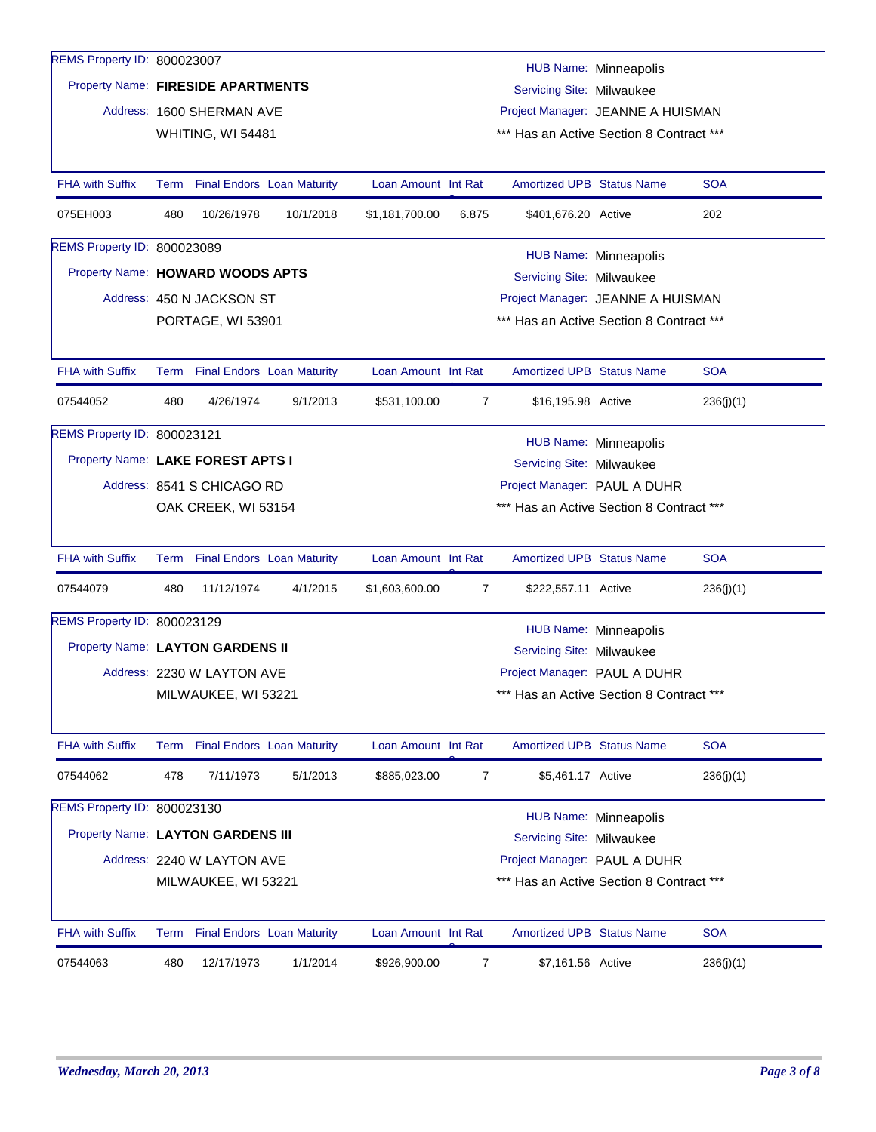| REMS Property ID: 800023007<br>Property Name: FIRESIDE APARTMENTS<br>Servicing Site: Milwaukee<br>Address: 1600 SHERMAN AVE<br>Project Manager: JEANNE A HUISMAN<br>*** Has an Active Section 8 Contract ***<br>WHITING, WI 54481<br><b>FHA with Suffix</b><br><b>SOA</b><br><b>Final Endors Loan Maturity</b><br>Loan Amount Int Rat<br><b>Amortized UPB Status Name</b><br>Term<br>480<br>10/26/1978<br>10/1/2018<br>\$1,181,700.00<br>\$401,676.20 Active<br>202<br>075EH003<br>6.875<br>REMS Property ID: 800023089<br>HUB Name: Minneapolis<br>Property Name: HOWARD WOODS APTS<br>Servicing Site: Milwaukee<br>Address: 450 N JACKSON ST<br>Project Manager: JEANNE A HUISMAN<br>PORTAGE, WI 53901<br>*** Has an Active Section 8 Contract ***<br><b>SOA</b><br><b>FHA with Suffix</b><br>Term Final Endors Loan Maturity<br>Loan Amount Int Rat<br><b>Amortized UPB Status Name</b><br>07544052<br>480<br>4/26/1974<br>9/1/2013<br>\$531,100.00<br>$\overline{7}$<br>\$16,195.98 Active<br>236(j)(1)<br>REMS Property ID: 800023121<br><b>HUB Name: Minneapolis</b><br>Property Name: LAKE FOREST APTS I<br>Servicing Site: Milwaukee<br>Project Manager: PAUL A DUHR<br>Address: 8541 S CHICAGO RD<br>*** Has an Active Section 8 Contract ***<br>OAK CREEK, WI 53154<br><b>FHA with Suffix</b><br><b>Amortized UPB Status Name</b><br><b>SOA</b><br><b>Final Endors Loan Maturity</b><br>Loan Amount Int Rat<br>Term<br>07544079<br>480<br>11/12/1974<br>4/1/2015<br>\$1,603,600.00<br>7<br>\$222,557.11 Active<br>236(j)(1)<br>REMS Property ID: 800023129<br><b>HUB Name: Minneapolis</b><br>Property Name: LAYTON GARDENS II<br>Servicing Site: Milwaukee<br>Project Manager: PAUL A DUHR<br>Address: 2230 W LAYTON AVE<br>*** Has an Active Section 8 Contract ***<br>MILWAUKEE, WI 53221<br><b>FHA with Suffix</b><br><b>SOA</b><br>Term Final Endors Loan Maturity<br>Loan Amount Int Rat<br>Amortized UPB Status Name |                              |  |  |  |  |  |  |  |  |  |  |
|---------------------------------------------------------------------------------------------------------------------------------------------------------------------------------------------------------------------------------------------------------------------------------------------------------------------------------------------------------------------------------------------------------------------------------------------------------------------------------------------------------------------------------------------------------------------------------------------------------------------------------------------------------------------------------------------------------------------------------------------------------------------------------------------------------------------------------------------------------------------------------------------------------------------------------------------------------------------------------------------------------------------------------------------------------------------------------------------------------------------------------------------------------------------------------------------------------------------------------------------------------------------------------------------------------------------------------------------------------------------------------------------------------------------------------------------------------------------------------------------------------------------------------------------------------------------------------------------------------------------------------------------------------------------------------------------------------------------------------------------------------------------------------------------------------------------------------------------------------------------------------------------------------------------------------------|------------------------------|--|--|--|--|--|--|--|--|--|--|
|                                                                                                                                                                                                                                                                                                                                                                                                                                                                                                                                                                                                                                                                                                                                                                                                                                                                                                                                                                                                                                                                                                                                                                                                                                                                                                                                                                                                                                                                                                                                                                                                                                                                                                                                                                                                                                                                                                                                       | <b>HUB Name: Minneapolis</b> |  |  |  |  |  |  |  |  |  |  |
|                                                                                                                                                                                                                                                                                                                                                                                                                                                                                                                                                                                                                                                                                                                                                                                                                                                                                                                                                                                                                                                                                                                                                                                                                                                                                                                                                                                                                                                                                                                                                                                                                                                                                                                                                                                                                                                                                                                                       |                              |  |  |  |  |  |  |  |  |  |  |
|                                                                                                                                                                                                                                                                                                                                                                                                                                                                                                                                                                                                                                                                                                                                                                                                                                                                                                                                                                                                                                                                                                                                                                                                                                                                                                                                                                                                                                                                                                                                                                                                                                                                                                                                                                                                                                                                                                                                       |                              |  |  |  |  |  |  |  |  |  |  |
|                                                                                                                                                                                                                                                                                                                                                                                                                                                                                                                                                                                                                                                                                                                                                                                                                                                                                                                                                                                                                                                                                                                                                                                                                                                                                                                                                                                                                                                                                                                                                                                                                                                                                                                                                                                                                                                                                                                                       |                              |  |  |  |  |  |  |  |  |  |  |
|                                                                                                                                                                                                                                                                                                                                                                                                                                                                                                                                                                                                                                                                                                                                                                                                                                                                                                                                                                                                                                                                                                                                                                                                                                                                                                                                                                                                                                                                                                                                                                                                                                                                                                                                                                                                                                                                                                                                       |                              |  |  |  |  |  |  |  |  |  |  |
|                                                                                                                                                                                                                                                                                                                                                                                                                                                                                                                                                                                                                                                                                                                                                                                                                                                                                                                                                                                                                                                                                                                                                                                                                                                                                                                                                                                                                                                                                                                                                                                                                                                                                                                                                                                                                                                                                                                                       |                              |  |  |  |  |  |  |  |  |  |  |
|                                                                                                                                                                                                                                                                                                                                                                                                                                                                                                                                                                                                                                                                                                                                                                                                                                                                                                                                                                                                                                                                                                                                                                                                                                                                                                                                                                                                                                                                                                                                                                                                                                                                                                                                                                                                                                                                                                                                       |                              |  |  |  |  |  |  |  |  |  |  |
|                                                                                                                                                                                                                                                                                                                                                                                                                                                                                                                                                                                                                                                                                                                                                                                                                                                                                                                                                                                                                                                                                                                                                                                                                                                                                                                                                                                                                                                                                                                                                                                                                                                                                                                                                                                                                                                                                                                                       |                              |  |  |  |  |  |  |  |  |  |  |
|                                                                                                                                                                                                                                                                                                                                                                                                                                                                                                                                                                                                                                                                                                                                                                                                                                                                                                                                                                                                                                                                                                                                                                                                                                                                                                                                                                                                                                                                                                                                                                                                                                                                                                                                                                                                                                                                                                                                       |                              |  |  |  |  |  |  |  |  |  |  |
|                                                                                                                                                                                                                                                                                                                                                                                                                                                                                                                                                                                                                                                                                                                                                                                                                                                                                                                                                                                                                                                                                                                                                                                                                                                                                                                                                                                                                                                                                                                                                                                                                                                                                                                                                                                                                                                                                                                                       |                              |  |  |  |  |  |  |  |  |  |  |
|                                                                                                                                                                                                                                                                                                                                                                                                                                                                                                                                                                                                                                                                                                                                                                                                                                                                                                                                                                                                                                                                                                                                                                                                                                                                                                                                                                                                                                                                                                                                                                                                                                                                                                                                                                                                                                                                                                                                       |                              |  |  |  |  |  |  |  |  |  |  |
|                                                                                                                                                                                                                                                                                                                                                                                                                                                                                                                                                                                                                                                                                                                                                                                                                                                                                                                                                                                                                                                                                                                                                                                                                                                                                                                                                                                                                                                                                                                                                                                                                                                                                                                                                                                                                                                                                                                                       |                              |  |  |  |  |  |  |  |  |  |  |
|                                                                                                                                                                                                                                                                                                                                                                                                                                                                                                                                                                                                                                                                                                                                                                                                                                                                                                                                                                                                                                                                                                                                                                                                                                                                                                                                                                                                                                                                                                                                                                                                                                                                                                                                                                                                                                                                                                                                       |                              |  |  |  |  |  |  |  |  |  |  |
|                                                                                                                                                                                                                                                                                                                                                                                                                                                                                                                                                                                                                                                                                                                                                                                                                                                                                                                                                                                                                                                                                                                                                                                                                                                                                                                                                                                                                                                                                                                                                                                                                                                                                                                                                                                                                                                                                                                                       |                              |  |  |  |  |  |  |  |  |  |  |
|                                                                                                                                                                                                                                                                                                                                                                                                                                                                                                                                                                                                                                                                                                                                                                                                                                                                                                                                                                                                                                                                                                                                                                                                                                                                                                                                                                                                                                                                                                                                                                                                                                                                                                                                                                                                                                                                                                                                       |                              |  |  |  |  |  |  |  |  |  |  |
|                                                                                                                                                                                                                                                                                                                                                                                                                                                                                                                                                                                                                                                                                                                                                                                                                                                                                                                                                                                                                                                                                                                                                                                                                                                                                                                                                                                                                                                                                                                                                                                                                                                                                                                                                                                                                                                                                                                                       |                              |  |  |  |  |  |  |  |  |  |  |
|                                                                                                                                                                                                                                                                                                                                                                                                                                                                                                                                                                                                                                                                                                                                                                                                                                                                                                                                                                                                                                                                                                                                                                                                                                                                                                                                                                                                                                                                                                                                                                                                                                                                                                                                                                                                                                                                                                                                       |                              |  |  |  |  |  |  |  |  |  |  |
|                                                                                                                                                                                                                                                                                                                                                                                                                                                                                                                                                                                                                                                                                                                                                                                                                                                                                                                                                                                                                                                                                                                                                                                                                                                                                                                                                                                                                                                                                                                                                                                                                                                                                                                                                                                                                                                                                                                                       |                              |  |  |  |  |  |  |  |  |  |  |
|                                                                                                                                                                                                                                                                                                                                                                                                                                                                                                                                                                                                                                                                                                                                                                                                                                                                                                                                                                                                                                                                                                                                                                                                                                                                                                                                                                                                                                                                                                                                                                                                                                                                                                                                                                                                                                                                                                                                       |                              |  |  |  |  |  |  |  |  |  |  |
|                                                                                                                                                                                                                                                                                                                                                                                                                                                                                                                                                                                                                                                                                                                                                                                                                                                                                                                                                                                                                                                                                                                                                                                                                                                                                                                                                                                                                                                                                                                                                                                                                                                                                                                                                                                                                                                                                                                                       |                              |  |  |  |  |  |  |  |  |  |  |
|                                                                                                                                                                                                                                                                                                                                                                                                                                                                                                                                                                                                                                                                                                                                                                                                                                                                                                                                                                                                                                                                                                                                                                                                                                                                                                                                                                                                                                                                                                                                                                                                                                                                                                                                                                                                                                                                                                                                       |                              |  |  |  |  |  |  |  |  |  |  |
|                                                                                                                                                                                                                                                                                                                                                                                                                                                                                                                                                                                                                                                                                                                                                                                                                                                                                                                                                                                                                                                                                                                                                                                                                                                                                                                                                                                                                                                                                                                                                                                                                                                                                                                                                                                                                                                                                                                                       |                              |  |  |  |  |  |  |  |  |  |  |
|                                                                                                                                                                                                                                                                                                                                                                                                                                                                                                                                                                                                                                                                                                                                                                                                                                                                                                                                                                                                                                                                                                                                                                                                                                                                                                                                                                                                                                                                                                                                                                                                                                                                                                                                                                                                                                                                                                                                       |                              |  |  |  |  |  |  |  |  |  |  |
|                                                                                                                                                                                                                                                                                                                                                                                                                                                                                                                                                                                                                                                                                                                                                                                                                                                                                                                                                                                                                                                                                                                                                                                                                                                                                                                                                                                                                                                                                                                                                                                                                                                                                                                                                                                                                                                                                                                                       |                              |  |  |  |  |  |  |  |  |  |  |
|                                                                                                                                                                                                                                                                                                                                                                                                                                                                                                                                                                                                                                                                                                                                                                                                                                                                                                                                                                                                                                                                                                                                                                                                                                                                                                                                                                                                                                                                                                                                                                                                                                                                                                                                                                                                                                                                                                                                       |                              |  |  |  |  |  |  |  |  |  |  |
|                                                                                                                                                                                                                                                                                                                                                                                                                                                                                                                                                                                                                                                                                                                                                                                                                                                                                                                                                                                                                                                                                                                                                                                                                                                                                                                                                                                                                                                                                                                                                                                                                                                                                                                                                                                                                                                                                                                                       |                              |  |  |  |  |  |  |  |  |  |  |
| 07544062<br>478<br>7/11/1973<br>5/1/2013<br>$\overline{7}$<br>\$5,461.17 Active<br>\$885,023.00<br>236(j)(1)                                                                                                                                                                                                                                                                                                                                                                                                                                                                                                                                                                                                                                                                                                                                                                                                                                                                                                                                                                                                                                                                                                                                                                                                                                                                                                                                                                                                                                                                                                                                                                                                                                                                                                                                                                                                                          |                              |  |  |  |  |  |  |  |  |  |  |
| REMS Property ID: 800023130<br><b>HUB Name: Minneapolis</b>                                                                                                                                                                                                                                                                                                                                                                                                                                                                                                                                                                                                                                                                                                                                                                                                                                                                                                                                                                                                                                                                                                                                                                                                                                                                                                                                                                                                                                                                                                                                                                                                                                                                                                                                                                                                                                                                           |                              |  |  |  |  |  |  |  |  |  |  |
| Property Name: LAYTON GARDENS III<br>Servicing Site: Milwaukee                                                                                                                                                                                                                                                                                                                                                                                                                                                                                                                                                                                                                                                                                                                                                                                                                                                                                                                                                                                                                                                                                                                                                                                                                                                                                                                                                                                                                                                                                                                                                                                                                                                                                                                                                                                                                                                                        |                              |  |  |  |  |  |  |  |  |  |  |
| Project Manager: PAUL A DUHR<br>Address: 2240 W LAYTON AVE                                                                                                                                                                                                                                                                                                                                                                                                                                                                                                                                                                                                                                                                                                                                                                                                                                                                                                                                                                                                                                                                                                                                                                                                                                                                                                                                                                                                                                                                                                                                                                                                                                                                                                                                                                                                                                                                            |                              |  |  |  |  |  |  |  |  |  |  |
| *** Has an Active Section 8 Contract ***<br>MILWAUKEE, WI 53221                                                                                                                                                                                                                                                                                                                                                                                                                                                                                                                                                                                                                                                                                                                                                                                                                                                                                                                                                                                                                                                                                                                                                                                                                                                                                                                                                                                                                                                                                                                                                                                                                                                                                                                                                                                                                                                                       |                              |  |  |  |  |  |  |  |  |  |  |
| <b>SOA</b><br><b>FHA with Suffix</b><br>Term Final Endors Loan Maturity<br>Loan Amount Int Rat<br><b>Amortized UPB Status Name</b>                                                                                                                                                                                                                                                                                                                                                                                                                                                                                                                                                                                                                                                                                                                                                                                                                                                                                                                                                                                                                                                                                                                                                                                                                                                                                                                                                                                                                                                                                                                                                                                                                                                                                                                                                                                                    |                              |  |  |  |  |  |  |  |  |  |  |
| 1/1/2014<br>07544063<br>480<br>12/17/1973<br>\$926,900.00<br>\$7,161.56 Active<br>236(j)(1)<br>7                                                                                                                                                                                                                                                                                                                                                                                                                                                                                                                                                                                                                                                                                                                                                                                                                                                                                                                                                                                                                                                                                                                                                                                                                                                                                                                                                                                                                                                                                                                                                                                                                                                                                                                                                                                                                                      |                              |  |  |  |  |  |  |  |  |  |  |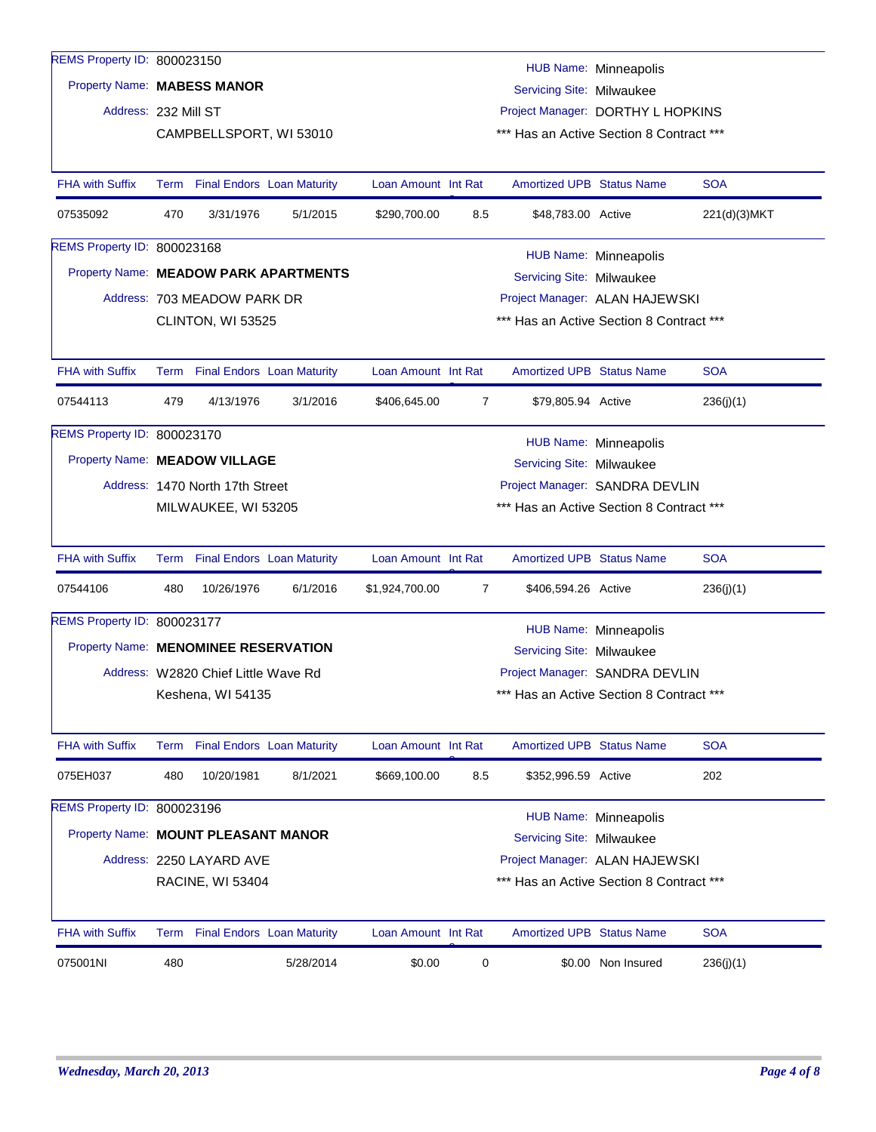| REMS Property ID: 800023150           |                                                          |                                     |           |                     |                                                                               |                                          |                              |              |  |  |
|---------------------------------------|----------------------------------------------------------|-------------------------------------|-----------|---------------------|-------------------------------------------------------------------------------|------------------------------------------|------------------------------|--------------|--|--|
|                                       |                                                          | <b>HUB Name: Minneapolis</b>        |           |                     |                                                                               |                                          |                              |              |  |  |
|                                       | Property Name: MABESS MANOR<br>Servicing Site: Milwaukee |                                     |           |                     |                                                                               |                                          |                              |              |  |  |
| Address: 232 Mill ST                  |                                                          |                                     |           |                     | Project Manager: DORTHY L HOPKINS<br>*** Has an Active Section 8 Contract *** |                                          |                              |              |  |  |
|                                       |                                                          | CAMPBELLSPORT, WI 53010             |           |                     |                                                                               |                                          |                              |              |  |  |
| <b>FHA with Suffix</b>                |                                                          | Term Final Endors Loan Maturity     |           | Loan Amount Int Rat |                                                                               | <b>Amortized UPB Status Name</b>         |                              | <b>SOA</b>   |  |  |
| 07535092                              | 470                                                      | 3/31/1976                           | 5/1/2015  | \$290,700.00        | 8.5                                                                           | \$48,783.00 Active                       |                              | 221(d)(3)MKT |  |  |
| REMS Property ID: 800023168           |                                                          |                                     |           |                     |                                                                               |                                          | HUB Name: Minneapolis        |              |  |  |
| Property Name: MEADOW PARK APARTMENTS |                                                          |                                     |           |                     |                                                                               | Servicing Site: Milwaukee                |                              |              |  |  |
|                                       |                                                          | Address: 703 MEADOW PARK DR         |           |                     |                                                                               | Project Manager: ALAN HAJEWSKI           |                              |              |  |  |
|                                       |                                                          | CLINTON, WI 53525                   |           |                     |                                                                               | *** Has an Active Section 8 Contract *** |                              |              |  |  |
|                                       |                                                          |                                     |           |                     |                                                                               |                                          |                              |              |  |  |
| <b>FHA with Suffix</b>                |                                                          | Term Final Endors Loan Maturity     |           | Loan Amount Int Rat |                                                                               | <b>Amortized UPB Status Name</b>         |                              | <b>SOA</b>   |  |  |
| 07544113                              | 479                                                      | 4/13/1976                           | 3/1/2016  | \$406,645.00        | $\overline{7}$                                                                | \$79,805.94 Active                       |                              | 236(j)(1)    |  |  |
| REMS Property ID: 800023170           |                                                          |                                     |           |                     |                                                                               |                                          | <b>HUB Name: Minneapolis</b> |              |  |  |
| Property Name: MEADOW VILLAGE         |                                                          |                                     |           |                     | Servicing Site: Milwaukee                                                     |                                          |                              |              |  |  |
|                                       |                                                          | Address: 1470 North 17th Street     |           |                     | Project Manager: SANDRA DEVLIN                                                |                                          |                              |              |  |  |
|                                       |                                                          | MILWAUKEE, WI 53205                 |           |                     | *** Has an Active Section 8 Contract ***                                      |                                          |                              |              |  |  |
|                                       |                                                          |                                     |           |                     |                                                                               |                                          |                              |              |  |  |
| <b>FHA with Suffix</b>                | Term                                                     | <b>Final Endors Loan Maturity</b>   |           | Loan Amount Int Rat |                                                                               | <b>Amortized UPB Status Name</b>         |                              | <b>SOA</b>   |  |  |
| 07544106                              | 480                                                      | 10/26/1976                          | 6/1/2016  | \$1,924,700.00      | $\overline{7}$                                                                | \$406,594.26 Active                      |                              | 236(j)(1)    |  |  |
| REMS Property ID: 800023177           |                                                          |                                     |           |                     |                                                                               |                                          | <b>HUB Name: Minneapolis</b> |              |  |  |
| Property Name: MENOMINEE RESERVATION  |                                                          |                                     |           |                     |                                                                               | Servicing Site: Milwaukee                |                              |              |  |  |
|                                       |                                                          | Address: W2820 Chief Little Wave Rd |           |                     |                                                                               | Project Manager: SANDRA DEVLIN           |                              |              |  |  |
|                                       |                                                          | Keshena, WI 54135                   |           |                     |                                                                               | *** Has an Active Section 8 Contract *** |                              |              |  |  |
|                                       |                                                          |                                     |           |                     |                                                                               |                                          |                              |              |  |  |
| <b>FHA with Suffix</b>                |                                                          | Term Final Endors Loan Maturity     |           | Loan Amount Int Rat |                                                                               | Amortized UPB Status Name                |                              | <b>SOA</b>   |  |  |
| 075EH037                              | 480                                                      | 10/20/1981                          | 8/1/2021  | \$669,100.00        | 8.5                                                                           | \$352,996.59 Active                      |                              | 202          |  |  |
| REMS Property ID: 800023196           |                                                          |                                     |           |                     |                                                                               |                                          | <b>HUB Name: Minneapolis</b> |              |  |  |
| Property Name: MOUNT PLEASANT MANOR   |                                                          |                                     |           |                     |                                                                               | Servicing Site: Milwaukee                |                              |              |  |  |
|                                       |                                                          | Address: 2250 LAYARD AVE            |           |                     |                                                                               | Project Manager: ALAN HAJEWSKI           |                              |              |  |  |
|                                       |                                                          | <b>RACINE, WI 53404</b>             |           |                     |                                                                               | *** Has an Active Section 8 Contract *** |                              |              |  |  |
|                                       |                                                          |                                     |           |                     |                                                                               |                                          |                              |              |  |  |
| <b>FHA with Suffix</b>                |                                                          | Term Final Endors Loan Maturity     |           | Loan Amount Int Rat |                                                                               | <b>Amortized UPB Status Name</b>         |                              | <b>SOA</b>   |  |  |
| 075001NI                              | 480                                                      |                                     | 5/28/2014 | \$0.00              | 0                                                                             |                                          | \$0.00 Non Insured           | 236(j)(1)    |  |  |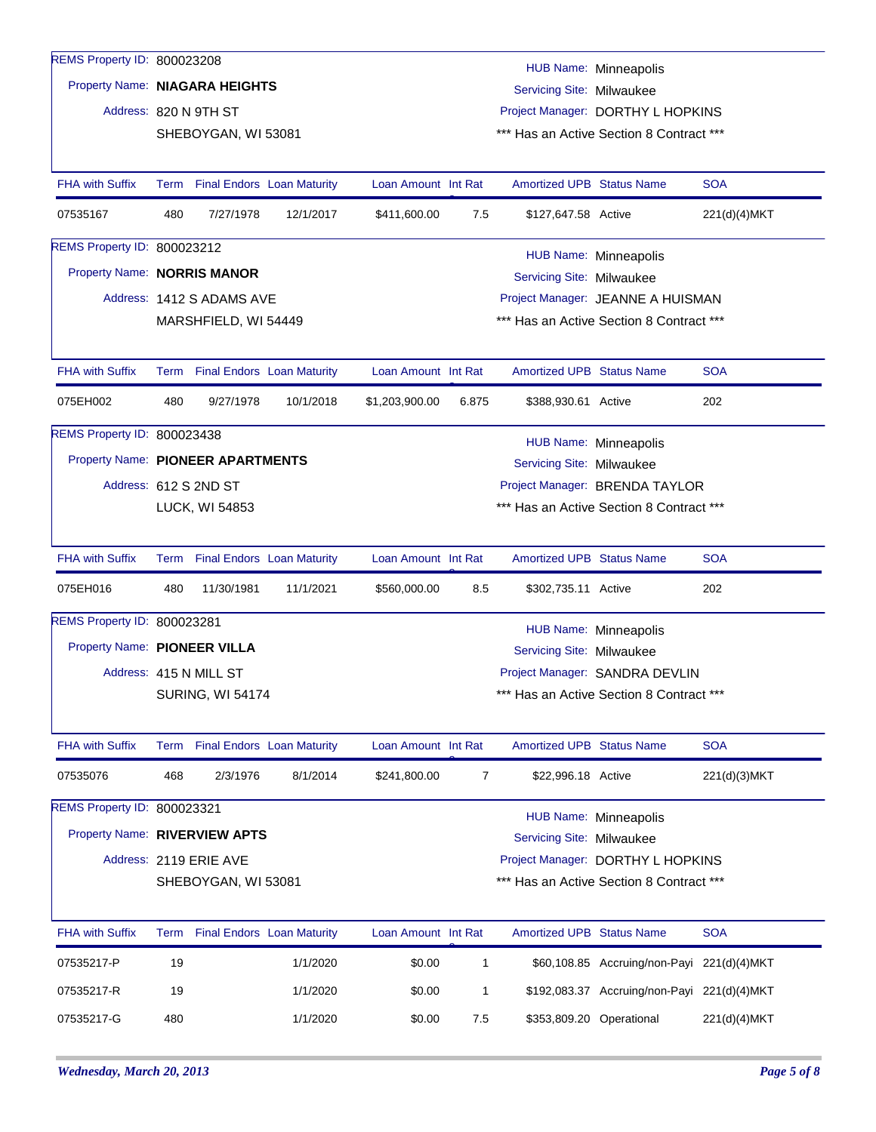| REMS Property ID: 800023208       |                                                                 |                           |                                 |                                |                |                                  |                                             |              |  |
|-----------------------------------|-----------------------------------------------------------------|---------------------------|---------------------------------|--------------------------------|----------------|----------------------------------|---------------------------------------------|--------------|--|
|                                   |                                                                 |                           |                                 |                                |                |                                  | <b>HUB Name: Minneapolis</b>                |              |  |
|                                   | Property Name: NIAGARA HEIGHTS<br>Servicing Site: Milwaukee     |                           |                                 |                                |                |                                  |                                             |              |  |
|                                   | Address: 820 N 9TH ST<br>Project Manager: DORTHY L HOPKINS      |                           |                                 |                                |                |                                  |                                             |              |  |
|                                   | *** Has an Active Section 8 Contract ***<br>SHEBOYGAN, WI 53081 |                           |                                 |                                |                |                                  |                                             |              |  |
| <b>FHA with Suffix</b>            |                                                                 |                           | Term Final Endors Loan Maturity | Loan Amount Int Rat            |                | <b>Amortized UPB Status Name</b> |                                             | <b>SOA</b>   |  |
| 07535167                          | 480                                                             | 7/27/1978                 | 12/1/2017                       | \$411,600.00                   | 7.5            | \$127,647.58 Active              |                                             | 221(d)(4)MKT |  |
| REMS Property ID: 800023212       |                                                                 |                           |                                 |                                |                |                                  | <b>HUB Name: Minneapolis</b>                |              |  |
| Property Name: NORRIS MANOR       |                                                                 |                           |                                 |                                |                | Servicing Site: Milwaukee        |                                             |              |  |
|                                   |                                                                 | Address: 1412 S ADAMS AVE |                                 |                                |                |                                  | Project Manager: JEANNE A HUISMAN           |              |  |
|                                   |                                                                 | MARSHFIELD, WI 54449      |                                 |                                |                |                                  | *** Has an Active Section 8 Contract ***    |              |  |
| <b>FHA with Suffix</b>            |                                                                 |                           | Term Final Endors Loan Maturity | Loan Amount Int Rat            |                | <b>Amortized UPB Status Name</b> |                                             | <b>SOA</b>   |  |
| 075EH002                          | 480                                                             | 9/27/1978                 | 10/1/2018                       | \$1,203,900.00                 | 6.875          | \$388,930.61 Active              |                                             | 202          |  |
| REMS Property ID: 800023438       |                                                                 |                           |                                 |                                |                |                                  | HUB Name: Minneapolis                       |              |  |
| Property Name: PIONEER APARTMENTS |                                                                 |                           |                                 |                                |                | Servicing Site: Milwaukee        |                                             |              |  |
|                                   |                                                                 | Address: 612 S 2ND ST     |                                 | Project Manager: BRENDA TAYLOR |                |                                  |                                             |              |  |
|                                   |                                                                 | LUCK, WI 54853            |                                 |                                |                |                                  | *** Has an Active Section 8 Contract ***    |              |  |
| <b>FHA with Suffix</b>            |                                                                 |                           | Term Final Endors Loan Maturity | Loan Amount Int Rat            |                | <b>Amortized UPB Status Name</b> |                                             | <b>SOA</b>   |  |
| 075EH016                          | 480                                                             | 11/30/1981                | 11/1/2021                       | \$560,000.00                   | 8.5            | \$302,735.11 Active              |                                             | 202          |  |
| REMS Property ID: 800023281       |                                                                 |                           |                                 |                                |                |                                  | <b>HUB Name: Minneapolis</b>                |              |  |
| Property Name: PIONEER VILLA      |                                                                 |                           |                                 |                                |                | Servicing Site: Milwaukee        |                                             |              |  |
|                                   |                                                                 | Address: 415 N MILL ST    |                                 |                                |                |                                  | Project Manager: SANDRA DEVLIN              |              |  |
|                                   |                                                                 | <b>SURING, WI 54174</b>   |                                 |                                |                |                                  | *** Has an Active Section 8 Contract ***    |              |  |
| <b>FHA with Suffix</b>            |                                                                 |                           | Term Final Endors Loan Maturity | Loan Amount Int Rat            |                | <b>Amortized UPB Status Name</b> |                                             | <b>SOA</b>   |  |
| 07535076                          | 468                                                             | 2/3/1976                  | 8/1/2014                        | \$241,800.00                   | $\overline{7}$ | \$22,996.18 Active               |                                             | 221(d)(3)MKT |  |
| REMS Property ID: 800023321       |                                                                 |                           |                                 |                                |                |                                  | HUB Name: Minneapolis                       |              |  |
| Property Name: RIVERVIEW APTS     |                                                                 |                           |                                 |                                |                | Servicing Site: Milwaukee        |                                             |              |  |
|                                   | Address: 2119 ERIE AVE<br>Project Manager: DORTHY L HOPKINS     |                           |                                 |                                |                |                                  |                                             |              |  |
|                                   |                                                                 | SHEBOYGAN, WI 53081       |                                 |                                |                |                                  | *** Has an Active Section 8 Contract ***    |              |  |
| <b>FHA with Suffix</b>            |                                                                 |                           | Term Final Endors Loan Maturity | Loan Amount Int Rat            |                | <b>Amortized UPB Status Name</b> |                                             | <b>SOA</b>   |  |
| 07535217-P                        | 19                                                              |                           | 1/1/2020                        | \$0.00                         | $\mathbf{1}$   |                                  | \$60,108.85 Accruing/non-Payi 221(d)(4)MKT  |              |  |
|                                   |                                                                 |                           |                                 |                                |                |                                  |                                             |              |  |
| 07535217-R                        | 19                                                              |                           | 1/1/2020                        | \$0.00                         | 1              |                                  | \$192,083.37 Accruing/non-Payi 221(d)(4)MKT |              |  |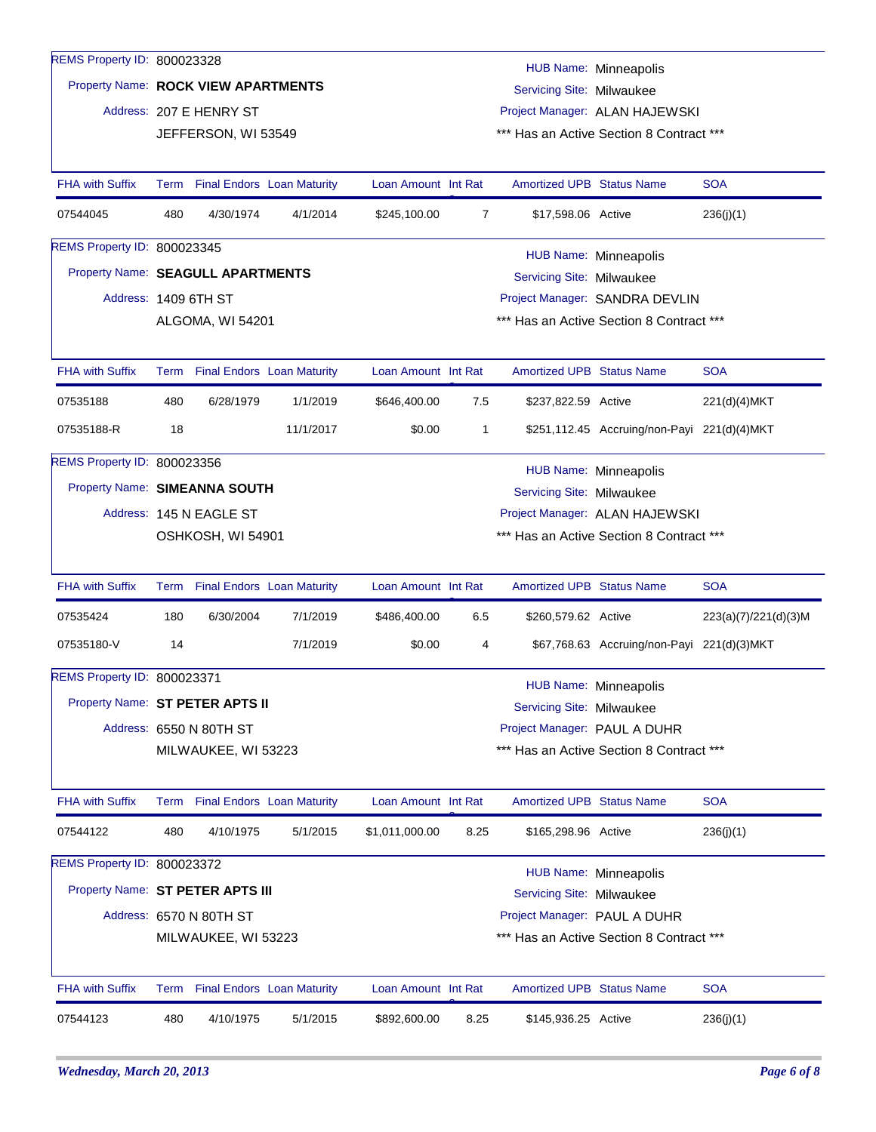| REMS Property ID: 800023328       |                                                                         |                                                |           |                     |                                          |                                  | <b>HUB Name: Minneapolis</b>                |                      |
|-----------------------------------|-------------------------------------------------------------------------|------------------------------------------------|-----------|---------------------|------------------------------------------|----------------------------------|---------------------------------------------|----------------------|
|                                   | Property Name: ROCK VIEW APARTMENTS<br><b>Servicing Site: Milwaukee</b> |                                                |           |                     |                                          |                                  |                                             |                      |
|                                   | Address: 207 E HENRY ST<br>Project Manager: ALAN HAJEWSKI               |                                                |           |                     |                                          |                                  |                                             |                      |
|                                   |                                                                         | JEFFERSON, WI 53549                            |           |                     |                                          |                                  | *** Has an Active Section 8 Contract ***    |                      |
| <b>FHA with Suffix</b>            |                                                                         | Term Final Endors Loan Maturity                |           | Loan Amount Int Rat |                                          | <b>Amortized UPB Status Name</b> |                                             | <b>SOA</b>           |
| 07544045                          | 480                                                                     | 4/30/1974                                      | 4/1/2014  | \$245,100.00        | $\overline{7}$                           | \$17,598.06 Active               |                                             | 236(j)(1)            |
| REMS Property ID: 800023345       |                                                                         |                                                |           |                     |                                          |                                  | HUB Name: Minneapolis                       |                      |
| Property Name: SEAGULL APARTMENTS |                                                                         |                                                |           |                     |                                          | Servicing Site: Milwaukee        |                                             |                      |
| Address: 1409 6TH ST              |                                                                         |                                                |           |                     |                                          |                                  | Project Manager: SANDRA DEVLIN              |                      |
|                                   |                                                                         | ALGOMA, WI 54201                               |           |                     |                                          |                                  | *** Has an Active Section 8 Contract ***    |                      |
|                                   |                                                                         |                                                |           |                     |                                          |                                  |                                             |                      |
| <b>FHA with Suffix</b>            |                                                                         | Term Final Endors Loan Maturity                |           | Loan Amount Int Rat |                                          | Amortized UPB Status Name        |                                             | <b>SOA</b>           |
| 07535188                          | 480                                                                     | 6/28/1979                                      | 1/1/2019  | \$646,400.00        | 7.5                                      | \$237,822.59 Active              |                                             | 221(d)(4)MKT         |
| 07535188-R                        | 18                                                                      |                                                | 11/1/2017 | \$0.00              | 1                                        |                                  | \$251,112.45 Accruing/non-Payi 221(d)(4)MKT |                      |
| REMS Property ID: 800023356       |                                                                         |                                                |           |                     |                                          |                                  | <b>HUB Name: Minneapolis</b>                |                      |
| Property Name: SIMEANNA SOUTH     |                                                                         |                                                |           |                     |                                          | Servicing Site: Milwaukee        |                                             |                      |
|                                   |                                                                         | Address: 145 N EAGLE ST                        |           |                     |                                          |                                  | Project Manager: ALAN HAJEWSKI              |                      |
|                                   |                                                                         | OSHKOSH, WI 54901                              |           |                     | *** Has an Active Section 8 Contract *** |                                  |                                             |                      |
|                                   |                                                                         |                                                |           |                     |                                          |                                  |                                             |                      |
| <b>FHA with Suffix</b>            |                                                                         | Term Final Endors Loan Maturity                |           | Loan Amount Int Rat |                                          | Amortized UPB Status Name        |                                             | <b>SOA</b>           |
| 07535424                          | 180                                                                     | 6/30/2004                                      | 7/1/2019  | \$486,400.00        | 6.5                                      | \$260,579.62 Active              |                                             | 223(a)(7)/221(d)(3)M |
| 07535180-V                        | 14                                                                      |                                                | 7/1/2019  | \$0.00              | 4                                        |                                  | \$67,768.63 Accruing/non-Payi 221(d)(3)MKT  |                      |
| REMS Property ID: 800023371       |                                                                         |                                                |           |                     |                                          |                                  | HUB Name: Minneapolis                       |                      |
| Property Name: ST PETER APTS II   |                                                                         |                                                |           |                     |                                          | Servicing Site: Milwaukee        |                                             |                      |
|                                   |                                                                         | Address: 6550 N 80TH ST                        |           |                     |                                          | Project Manager: PAUL A DUHR     |                                             |                      |
|                                   |                                                                         | MILWAUKEE, WI 53223                            |           |                     |                                          |                                  | *** Has an Active Section 8 Contract ***    |                      |
|                                   |                                                                         |                                                |           |                     |                                          |                                  |                                             |                      |
| <b>FHA with Suffix</b>            |                                                                         | Term Final Endors Loan Maturity                |           | Loan Amount Int Rat |                                          | <b>Amortized UPB Status Name</b> |                                             | <b>SOA</b>           |
| 07544122                          | 480                                                                     | 4/10/1975                                      | 5/1/2015  | \$1,011,000.00      | 8.25                                     | \$165,298.96 Active              |                                             | 236(j)(1)            |
| REMS Property ID: 800023372       |                                                                         |                                                |           |                     |                                          |                                  | HUB Name: Minneapolis                       |                      |
|                                   |                                                                         | Property Name: ST PETER APTS III               |           |                     |                                          | Servicing Site: Milwaukee        |                                             |                      |
|                                   |                                                                         |                                                |           |                     |                                          |                                  |                                             |                      |
|                                   |                                                                         |                                                |           |                     |                                          |                                  |                                             |                      |
|                                   |                                                                         | Address: 6570 N 80TH ST<br>MILWAUKEE, WI 53223 |           |                     |                                          | Project Manager: PAUL A DUHR     | *** Has an Active Section 8 Contract ***    |                      |
|                                   |                                                                         |                                                |           |                     |                                          |                                  |                                             |                      |
| FHA with Suffix                   |                                                                         | Term Final Endors Loan Maturity                |           | Loan Amount Int Rat |                                          | Amortized UPB Status Name        |                                             | <b>SOA</b>           |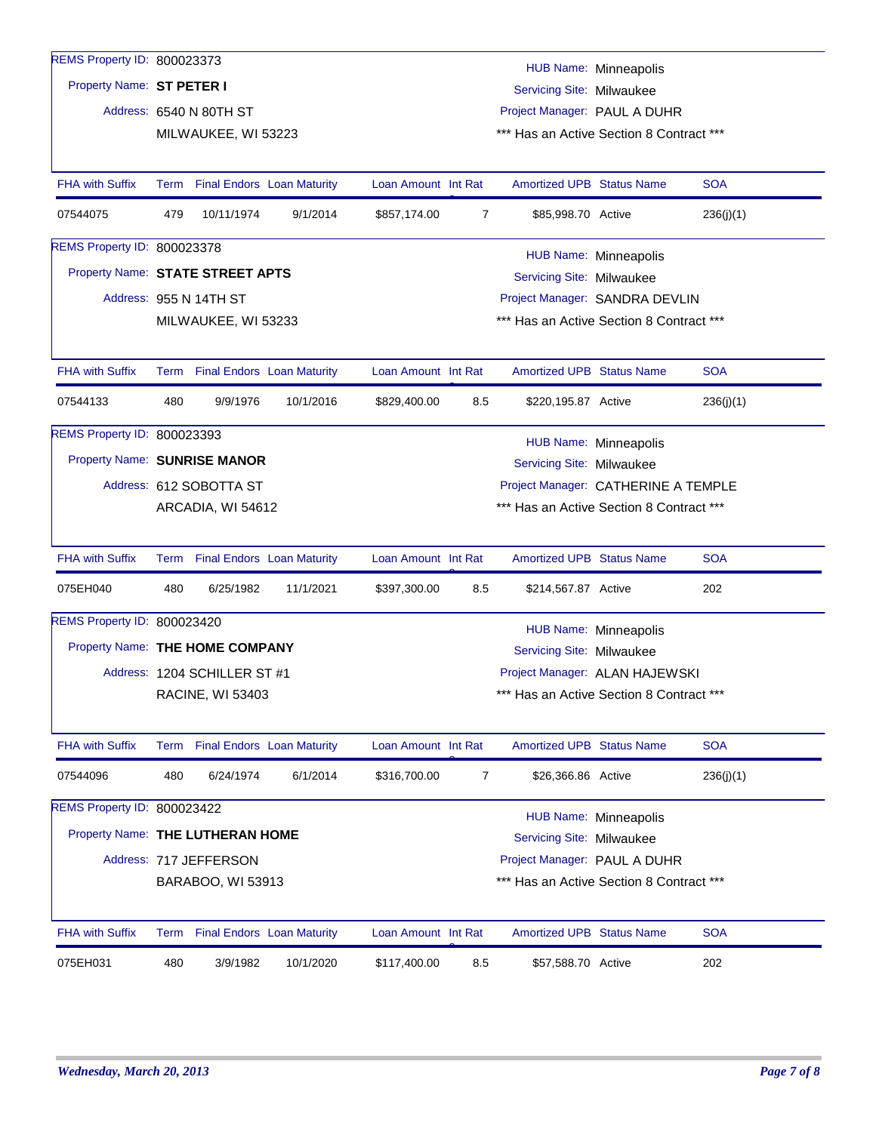| REMS Property ID: 800023373        |     |                              |                                 |                                     |                                          |                                          |                              |            |  |  |
|------------------------------------|-----|------------------------------|---------------------------------|-------------------------------------|------------------------------------------|------------------------------------------|------------------------------|------------|--|--|
|                                    |     |                              |                                 |                                     |                                          |                                          | <b>HUB Name: Minneapolis</b> |            |  |  |
| Property Name: ST PETER I          |     |                              |                                 |                                     |                                          | Servicing Site: Milwaukee                |                              |            |  |  |
|                                    |     | Address: 6540 N 80TH ST      |                                 |                                     |                                          | Project Manager: PAUL A DUHR             |                              |            |  |  |
|                                    |     | MILWAUKEE, WI 53223          |                                 |                                     |                                          | *** Has an Active Section 8 Contract *** |                              |            |  |  |
| <b>FHA with Suffix</b>             |     |                              | Term Final Endors Loan Maturity | Loan Amount Int Rat                 |                                          | <b>Amortized UPB Status Name</b>         |                              | <b>SOA</b> |  |  |
| 07544075                           | 479 | 10/11/1974                   | 9/1/2014                        | \$857,174.00                        | 7                                        | \$85,998.70 Active                       |                              | 236(j)(1)  |  |  |
| <b>REMS Property ID: 800023378</b> |     |                              |                                 |                                     |                                          |                                          | <b>HUB Name: Minneapolis</b> |            |  |  |
| Property Name: STATE STREET APTS   |     |                              |                                 |                                     |                                          | Servicing Site: Milwaukee                |                              |            |  |  |
|                                    |     | Address: 955 N 14TH ST       |                                 |                                     |                                          | Project Manager: SANDRA DEVLIN           |                              |            |  |  |
|                                    |     | MILWAUKEE, WI 53233          |                                 |                                     |                                          | *** Has an Active Section 8 Contract *** |                              |            |  |  |
|                                    |     |                              |                                 |                                     |                                          |                                          |                              |            |  |  |
| <b>FHA with Suffix</b>             |     |                              | Term Final Endors Loan Maturity | Loan Amount Int Rat                 |                                          | Amortized UPB Status Name                |                              | <b>SOA</b> |  |  |
| 07544133                           | 480 | 9/9/1976                     | 10/1/2016                       | \$829,400.00                        | 8.5                                      | \$220,195.87 Active                      |                              | 236(j)(1)  |  |  |
| <b>REMS Property ID: 800023393</b> |     |                              |                                 |                                     |                                          |                                          | HUB Name: Minneapolis        |            |  |  |
| Property Name: SUNRISE MANOR       |     |                              |                                 |                                     |                                          | Servicing Site: Milwaukee                |                              |            |  |  |
|                                    |     | Address: 612 SOBOTTA ST      |                                 | Project Manager: CATHERINE A TEMPLE |                                          |                                          |                              |            |  |  |
|                                    |     | ARCADIA, WI 54612            |                                 |                                     | *** Has an Active Section 8 Contract *** |                                          |                              |            |  |  |
|                                    |     |                              |                                 |                                     |                                          |                                          |                              |            |  |  |
| <b>FHA with Suffix</b>             |     |                              | Term Final Endors Loan Maturity | Loan Amount Int Rat                 |                                          | <b>Amortized UPB Status Name</b>         |                              | <b>SOA</b> |  |  |
| 075EH040                           | 480 | 6/25/1982                    | 11/1/2021                       | \$397,300.00                        | 8.5                                      | \$214,567.87 Active                      |                              | 202        |  |  |
| REMS Property ID: 800023420        |     |                              |                                 |                                     |                                          |                                          | <b>HUB Name: Minneapolis</b> |            |  |  |
| Property Name: THE HOME COMPANY    |     |                              |                                 |                                     |                                          | Servicing Site: Milwaukee                |                              |            |  |  |
|                                    |     | Address: 1204 SCHILLER ST #1 |                                 |                                     |                                          | Project Manager: ALAN HAJEWSKI           |                              |            |  |  |
|                                    |     | RACINE, WI 53403             |                                 |                                     |                                          | *** Has an Active Section 8 Contract *** |                              |            |  |  |
|                                    |     |                              |                                 |                                     |                                          |                                          |                              |            |  |  |
| FHA with Suffix                    |     |                              | Term Final Endors Loan Maturity | Loan Amount Int Rat                 |                                          | Amortized UPB Status Name                |                              | <b>SOA</b> |  |  |
| 07544096                           | 480 | 6/24/1974                    | 6/1/2014                        | \$316,700.00                        | 7                                        | \$26,366.86 Active                       |                              | 236(j)(1)  |  |  |
| REMS Property ID: 800023422        |     |                              |                                 |                                     |                                          |                                          | <b>HUB Name: Minneapolis</b> |            |  |  |
| Property Name: THE LUTHERAN HOME   |     |                              |                                 |                                     |                                          | Servicing Site: Milwaukee                |                              |            |  |  |
|                                    |     | Address: 717 JEFFERSON       |                                 |                                     |                                          | Project Manager: PAUL A DUHR             |                              |            |  |  |
|                                    |     | BARABOO, WI 53913            |                                 |                                     |                                          | *** Has an Active Section 8 Contract *** |                              |            |  |  |
|                                    |     |                              |                                 |                                     |                                          |                                          |                              |            |  |  |
| <b>FHA with Suffix</b>             |     |                              | Term Final Endors Loan Maturity | Loan Amount Int Rat                 |                                          | Amortized UPB Status Name                |                              | <b>SOA</b> |  |  |
| 075EH031                           | 480 | 3/9/1982                     | 10/1/2020                       | \$117,400.00                        | 8.5                                      | \$57,588.70 Active                       |                              | 202        |  |  |